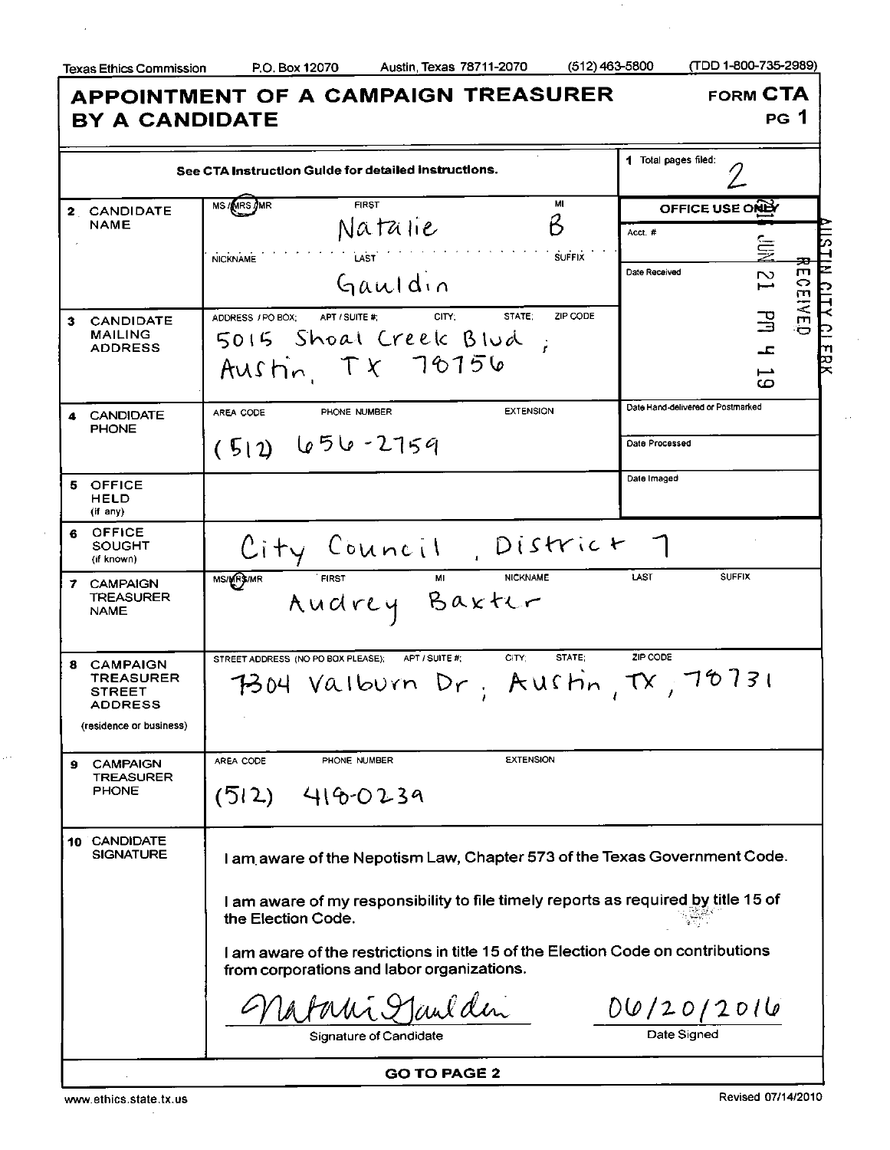$\overline{\phantom{a}}$ 

 $\cdot$ 

 $\ddotsc$ 

Texas Ethics Commission P.O. Box 12070 Austin, Texas 78711-2070 (512)463-5800 (TDD 1-800-735-2989)

| <b>BY A CANDIDATE</b>                                                                 | <b>APPOINTMENT OF A CAMPAIGN TREASURER</b>                                                                                     |                                   | <b>FORM CTA</b><br><b>PG</b> 1         |
|---------------------------------------------------------------------------------------|--------------------------------------------------------------------------------------------------------------------------------|-----------------------------------|----------------------------------------|
|                                                                                       | See CTA Instruction Guide for detailed instructions.                                                                           | 1 Total pages filed:              |                                        |
| 2 CANDIDATE                                                                           | <b>FIRST</b><br>MI<br><b>MS/MRS/MR</b>                                                                                         | OFFICE USE ONLY                   |                                        |
| <b>NAME</b>                                                                           | B<br>Natalie                                                                                                                   | Acct. #                           |                                        |
|                                                                                       | <b>LAST</b><br><b>SUFFIX</b><br><b>NICKNAME</b>                                                                                |                                   | 复<br>≖                                 |
|                                                                                       | Gauldin                                                                                                                        | Date Received                     | $\mathbf{m}$<br>$\mathbf{z}$<br>⇔<br>m |
| <b>CANDIDATE</b><br>3                                                                 | <b>STATE:</b><br>ZIP CODE<br>CITY:<br>ADDRESS / PO BOX;<br>APT / SUITE #:                                                      |                                   | <b>INED</b><br>马                       |
| MAILING<br><b>ADDRESS</b>                                                             | 5015 Shoat Creek Blud                                                                                                          |                                   | ᅩ<br>71                                |
|                                                                                       | Austin TX 70156                                                                                                                |                                   | 罔<br>⊷<br>ص                            |
| <b>CANDIDATE</b><br>4<br><b>PHONE</b>                                                 | <b>EXTENSION</b><br>PHONE NUMBER<br>AREA CODE                                                                                  | Date Hand-delivered or Postmarked |                                        |
|                                                                                       | $(512)$ 656-2759                                                                                                               | Date Processed                    |                                        |
| 5 OFFICE<br>HELD<br>(if any)                                                          |                                                                                                                                | Date Imaged                       |                                        |
| <b>OFFICE</b><br>6<br>SOUGHT<br>(if known)                                            | City Council, District 7                                                                                                       |                                   |                                        |
| 7 CAMPAIGN<br><b>TREASURER</b><br><b>NAME</b>                                         | <b>NICKNAME</b><br><b>FIRST</b><br>MS/MR3/MR<br>MI<br>Audrey Baxter                                                            | LAST<br><b>SUFFIX</b>             |                                        |
| 8 CAMPAIGN<br><b>TREASURER</b><br>STREET<br><b>ADDRESS</b><br>(residence or business) | CITY:<br><b>STATE:</b><br>STREET ADDRESS (NO PO BOX PLEASE);<br>APT / SUITE #:<br>7304 Valburn Dr. Austin, TX, 78731           | ZIP CODE                          |                                        |
|                                                                                       | <b>EXTENSION</b>                                                                                                               |                                   |                                        |
| <b>CAMPAIGN</b><br>9<br><b>TREASURER</b><br><b>PHONE</b>                              | AREA CODE<br>PHONE NUMBER<br>$(512)$ 416-0239                                                                                  |                                   |                                        |
| 10 CANDIDATE<br><b>SIGNATURE</b>                                                      | I am aware of the Nepotism Law, Chapter 573 of the Texas Government Code.                                                      |                                   |                                        |
|                                                                                       | I am aware of my responsibility to file timely reports as required by title 15 of<br>the Election Code.                        |                                   |                                        |
|                                                                                       | I am aware of the restrictions in title 15 of the Election Code on contributions<br>from corporations and labor organizations. |                                   |                                        |
|                                                                                       | Latani Maulden                                                                                                                 | 00/20/2016                        |                                        |
|                                                                                       | Signature of Candidate                                                                                                         | Date Signed                       |                                        |
|                                                                                       | <b>GO TO PAGE 2</b>                                                                                                            |                                   |                                        |

www.ethics.state.tx.us Revised 07/14/2010